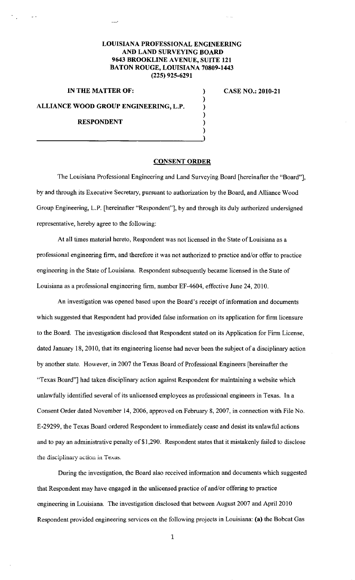# **LOUISIANA PROFESSIONAL ENGINEERING AND LAND SURVEYING BOARD 9643 BROOKLINE AVENUE, SUITE 121 BATON ROUGE, LOUISIANA 70809-1443 (225) 925-6291**

## **IN THE MATTER OF:**

#### **CASE NO.: 2010-21**

#### **ALLIANCE WOOD GROUP ENGINEERING, L.P.**

#### **RESPONDENT**

### **CONSENT ORDER**

) ) ) ) ) )

The Louisiana Professional Engineering and Land Surveying Board [hereinafter the "Board"], by and through its Executive Secretary, pursuant to authorization by the Board, and Alliance Wood Group Engineering, L.P. [hereinafter "Respondent"], by and through its duly authorized undersigned representative, hereby agree to the following:

At all times material hereto, Respondent was not licensed in the State of Louisiana as a professional engineering firm, and therefore it was not authorized to practice and/or offer to practice engineering in the State of Louisiana. Respondent subsequently became licensed in the State of Louisiana as a professional engineering firm, number EF-4604, effective June 24,2010.

An investigation was opened based upon the Board's receipt of information and documents which suggested that Respondent had provided false information on its application for firm licensure to the Board. The investigation disclosed that Respondent stated on its Application for Firm License, dated January 18, 2010, that its engineering license had never been the subject of a disciplinary action by another state. However, in 2007 the Texas Board of Professional Engineers [hereinafter the "Texas Board"] had taken disciplinary action against Respondent for maintaining a website which unlawfully identified several of its unlicensed employees as professional engineers in Texas. In a Consent Order dated November 14, 2006, approved on February 8, 2007, in connection with File No. E-29299, the Texas Board ordered Respondent to immediately cease and desist its unlawful actions and to pay an administrative penalty of \$1,290. Respondent states that it mistakenly failed to disclose the disciplinary action in Texas.

During the investigation, the Board also received information and documents which suggested that Respondent may have engaged in the unlicensed practice of and/or offering to practice engineering in Louisiana. The investigation disclosed that between August 2007 and April2010 Respondent provided engineering services on the following projects in Louisiana: **(a)** the Bobcat Gas

1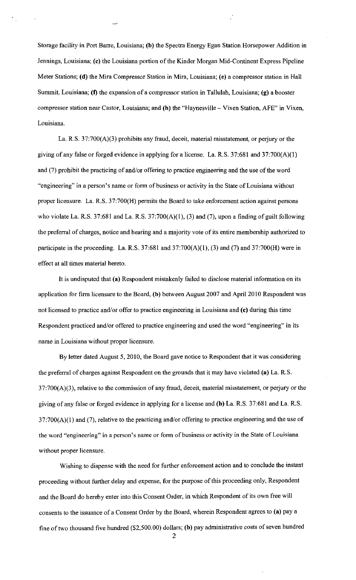Storage facility in Port Barre, Louisiana; (b) the Spectra Energy Egan Station Horsepower Addition in Jennings, Louisiana; (c) the Louisiana portion of the Kinder Morgan Mid-Continent Express Pipeline Meter Stations; (d) the Mira Compressor Station in Mira, Louisiana; (e) a compressor station in Hall Summit, Louisiana; (f) the expansion of a compressor station in Tallulah, Louisiana; (g) a booster compressor station near Castor, Louisiana; and (h) the "Haynesville- Vixen Station, AFE" in Vixen, Louisiana.

La. R.S. 37:700(A)(3) prohibits any fraud, deceit, material misstatement, or perjury or the giving of any false or forged evidence in applying for a license. La. R.S. 37:681 and 37:700(A)(1) and (7) prohibit the practicing of and/or offering to practice engineering and the use of the word "engineering" in a person's name or form of business or activity in the State of Louisiana without proper licensure. La. R.S. 37:700(H) permits the Board to take enforcement action against persons who violate La. R.S. 37:681 and La. R.S. 37:700(A)(1), (3) and (7), upon a finding of guilt following the preferral of charges, notice and hearing and a majority vote of its entire membership authorized to participate in the proceeding. La. R.S. 37:681 and 37:700(A)(1), (3) and (7) and 37:700(H) were in effect at all times material hereto.

It is undisputed that (a) Respondent mistakenly failed to disclose material information on its application for firm licensure to the Board, (b) between August 2007 and April 2010 Respondent was not licensed to practice and/or offer to practice engineering in Louisiana and (c) during this time Respondent practiced and/or offered to practice engineering and used the word "engineering" in its name in Louisiana without proper licensure.

By letter dated August 5, 2010, the Board gave notice to Respondent that it was considering the preferral of charges against Respondent on the grounds that it may have violated (a) La. R.S.  $37:700(A)(3)$ , relative to the commission of any fraud, deceit, material misstatement, or perjury or the giving of any false or forged evidence in applying for a license and (b) La. R.S. 37:681 and La. R.S.  $37:700(A)(1)$  and (7), relative to the practicing and/or offering to practice engineering and the use of the word "engineering" in a person's name or form of business or activity in the State of Louisiana without proper licensure.

Wishing to dispense with the need for further enforcement action and to conclude the instant proceeding without further delay and expense, for the purpose of this proceeding only, Respondent and the Board do hereby enter into this Consent Order, in which Respondent of its own free will consents to the issuance of a Consent Order by the Board, wherein Respondent agrees to (a) pay a fine of two thousand five hundred (\$2,500.00) dollars; (b) pay administrative costs of seven hundred

2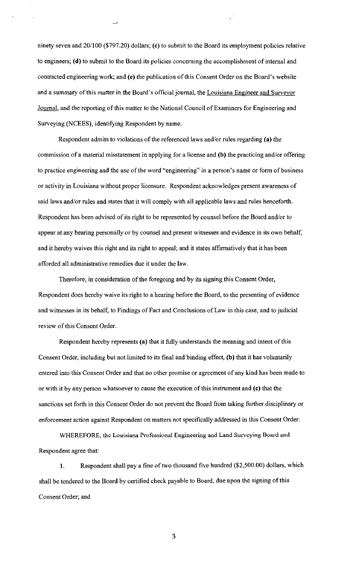ninety seven and 20/100 (\$797.20) dollars; (c) to submit to the Board its employment policies relative to engineers; (d) to submit to the Board its policies concerning the accomplishment of internal and contracted engineering work; and (e) the publication of this Consent Order on the Board's website and a summary of this matter in the Board's official journal, the Louisiana Engineer and Surveyor Journal, and the reporting of this matter to the National Council of Examiners for Engineering and Surveying (NCEES), identifying Respondent by name.

Respondent admits to violations of the referenced laws and/or rules regarding (a) the commission of a material misstatement in applying for a license and (b) the practicing and/or offering to practice engineering and the use of the word "engineering" in a person's name or form of business or activity in Louisiana without proper licensure. Respondent acknowledges present awareness of said laws and/or rules and states that it will comply with all applicable laws and rules henceforth. Respondent has been advised of its right to be represented by counsel before the Board and/or to appear at any hearing personally or by counsel and present witnesses and evidence in its own behalf, and it hereby waives this right and its right to appeal; and it states affirmatively that it has been afforded all administrative remedies due it under the law.

Therefore, in consideration of the foregoing and by its signing this Consent Order, Respondent does hereby waive its right to a hearing before the Board, to the presenting of evidence and witnesses in its behalf, to Findings of Fact and Conclusions of Law in this case, and to judicial review of this Consent Order.

Respondent hereby represents (a) that it fully understands the meaning and intent of this Consent Order, including but not limited to its final and binding effect, (b) that it has voluntarily entered into this Consent Order and that no other promise or agreement of any kind has been made to or with it by any person whatsoever to cause the execution of this instrument and (c) that the sanctions set forth in this Consent Order do not prevent the Board from taking further disciplinary or enforcement action against Respondent on matters not specifically addressed in this Consent Order.

WHEREFORE, the Louisiana Professional Engineering and Land Surveying Board and Respondent agree that:

1. Respondent shall pay a fine of two thousand five hundred (\$2,500.00) dollars, which shall be tendered to the Board by certified check payable to Board, due upon the signing of this Consent Order; and

3